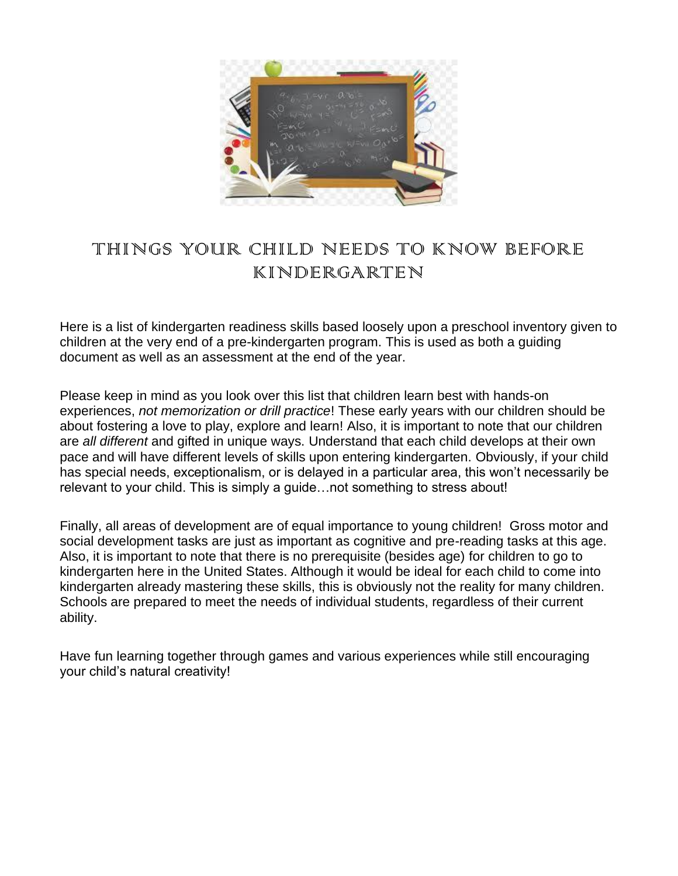

# THINGS YOUR CHILD NEEDS TO KNOW BEFORE KINDERGARTEN

Here is a list of kindergarten readiness skills based loosely upon a preschool inventory given to children at the very end of a pre-kindergarten program. This is used as both a guiding document as well as an assessment at the end of the year.

Please keep in mind as you look over this list that children learn best with hands-on experiences, *not memorization or drill practice*! These early years with our children should be about fostering a love to play, explore and learn! Also, it is important to note that our children are *all different* and gifted in unique ways. Understand that each child develops at their own pace and will have different levels of skills upon entering kindergarten. Obviously, if your child has special needs, exceptionalism, or is delayed in a particular area, this won't necessarily be relevant to your child. This is simply a guide…not something to stress about!

Finally, all [areas of development](https://www.icanteachmychild.com/domains-of-early-childhood-development/) are of equal importance to young children! Gross motor and social development tasks are just as important as cognitive and pre-reading tasks at this age. Also, it is important to note that there is no prerequisite (besides age) for children to go to kindergarten here in the United States. Although it would be ideal for each child to come into kindergarten already mastering these skills, this is obviously not the reality for many children. Schools are prepared to meet the needs of individual students, regardless of their current ability.

Have fun learning together through games and various experiences while still encouraging your child's natural creativity!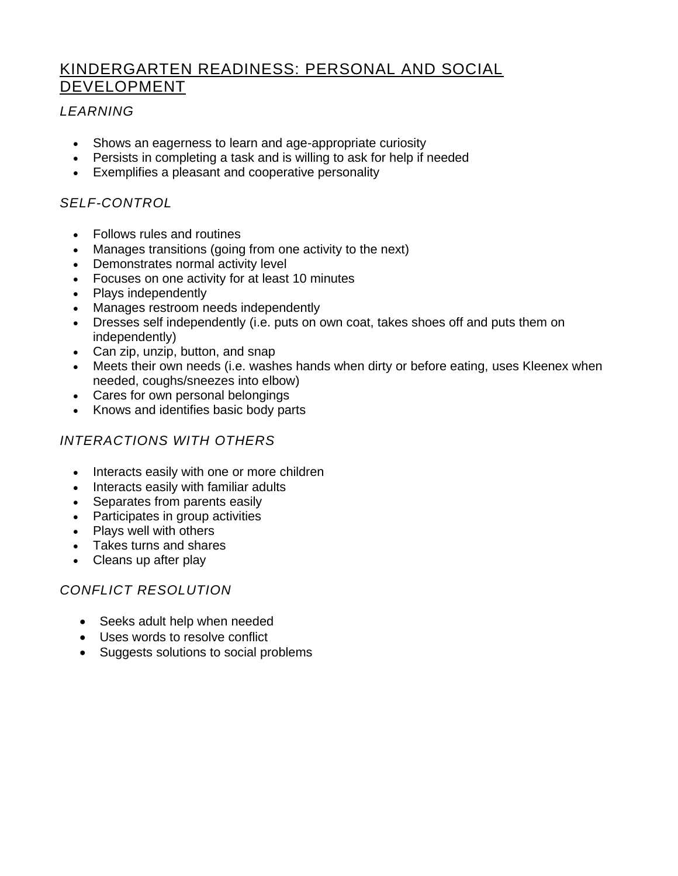# KINDERGARTEN READINESS: PERSONAL AND SOCIAL DEVELOPMENT

## *LEARNING*

- Shows an eagerness to learn and age-appropriate curiosity
- Persists in completing a task and is willing to ask for help if needed
- Exemplifies a pleasant and cooperative personality

# *SELF-CONTROL*

- Follows rules and routines
- Manages transitions (going from one activity to the next)
- Demonstrates normal activity level
- Focuses on one activity for at least 10 minutes
- Plays independently
- Manages restroom needs independently
- Dresses self independently (i.e. puts on own coat, takes shoes off and puts them on independently)
- Can zip, unzip, button, and snap
- Meets their own needs (i.e. washes hands when dirty or before eating, uses Kleenex when needed, coughs/sneezes into elbow)
- Cares for own personal belongings
- Knows and identifies basic body parts

# *INTERACTIONS WITH OTHERS*

- Interacts easily with one or more children
- Interacts easily with familiar adults
- Separates from parents easily
- Participates in group activities
- Plays well with others
- Takes turns and shares
- Cleans up after play

# *CONFLICT RESOLUTION*

- Seeks adult help when needed
- Uses words to resolve conflict
- Suggests solutions to social problems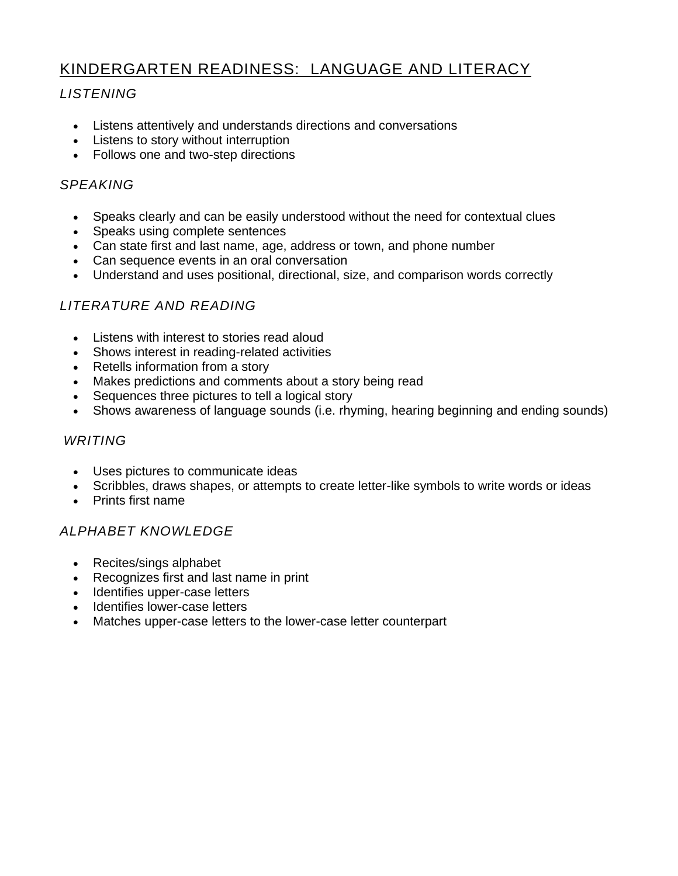# KINDERGARTEN READINESS: LANGUAGE AND LITERACY

# *LISTENING*

- Listens attentively and understands directions and conversations
- Listens to story without interruption
- Follows one and two-step directions

#### *SPEAKING*

- Speaks clearly and can be easily understood without the need for contextual clues
- Speaks using complete sentences
- Can state first and last name, age, address or town, and phone number
- Can sequence events in an oral conversation
- Understand and uses positional, directional, size, and comparison words correctly

# *LITERATURE AND READING*

- Listens with interest to stories read aloud
- Shows interest in reading-related activities
- Retells information from a story
- Makes predictions and comments about a story being read
- Sequences three pictures to tell a logical story
- Shows awareness of language sounds (i.e. rhyming, hearing beginning and ending sounds)

#### *WRITING*

- Uses pictures to communicate ideas
- Scribbles, draws shapes, or attempts to create letter-like symbols to write words or ideas
- Prints first name

#### *ALPHABET KNOWLEDGE*

- Recites/sings alphabet
- Recognizes first and last name in print
- Identifies upper-case letters
- Identifies lower-case letters
- Matches upper-case letters to the lower-case letter counterpart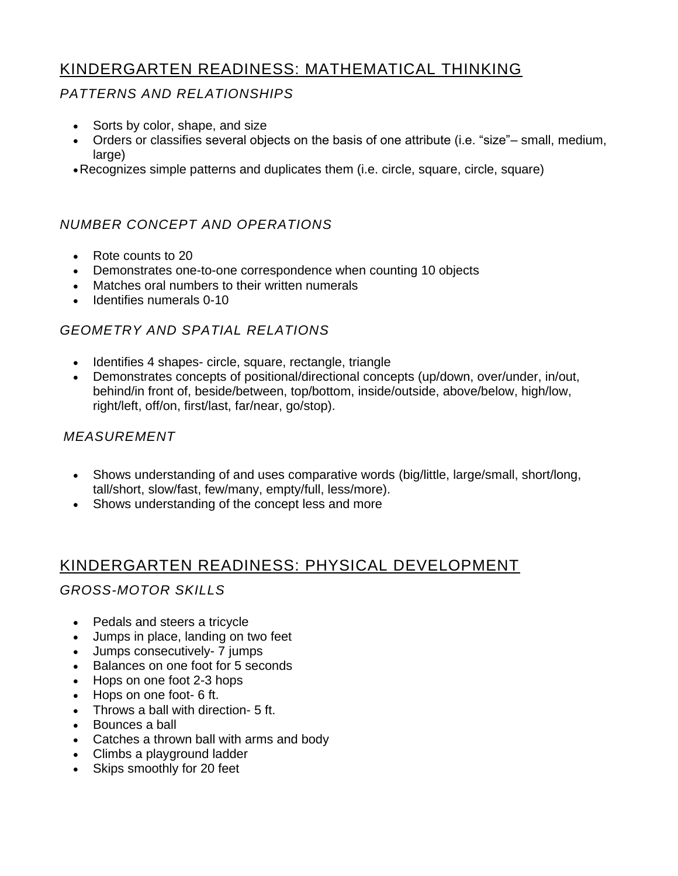# KINDERGARTEN READINESS: MATHEMATICAL THINKING

#### *PATTERNS AND RELATIONSHIPS*

- Sorts by color, shape, and size
- Orders or classifies several objects on the basis of one attribute (i.e. "size"– small, medium, large)
- •Recognizes simple patterns and duplicates them (i.e. circle, square, circle, square)

# *NUMBER CONCEPT AND OPERATIONS*

- Rote counts to 20
- Demonstrates one-to-one correspondence when counting 10 objects
- Matches oral numbers to their written numerals
- Identifies numerals 0-10

## *GEOMETRY AND SPATIAL RELATIONS*

- Identifies 4 shapes- circle, square, rectangle, triangle
- Demonstrates concepts of positional/directional concepts (up/down, over/under, in/out, behind/in front of, beside/between, top/bottom, inside/outside, above/below, high/low, right/left, off/on, first/last, far/near, go/stop).

#### *MEASUREMENT*

- Shows understanding of and uses comparative words (big/little, large/small, short/long, tall/short, slow/fast, few/many, empty/full, less/more).
- Shows understanding of the concept less and more

# KINDERGARTEN READINESS: PHYSICAL DEVELOPMENT

#### *GROSS-MOTOR SKILLS*

- Pedals and steers a tricycle
- Jumps in place, landing on two feet
- Jumps consecutively- 7 jumps
- Balances on one foot for 5 seconds
- Hops on one foot 2-3 hops
- Hops on one foot- 6 ft.
- Throws a ball with direction- 5 ft.
- Bounces a ball
- Catches a thrown ball with arms and body
- Climbs a playground ladder
- Skips smoothly for 20 feet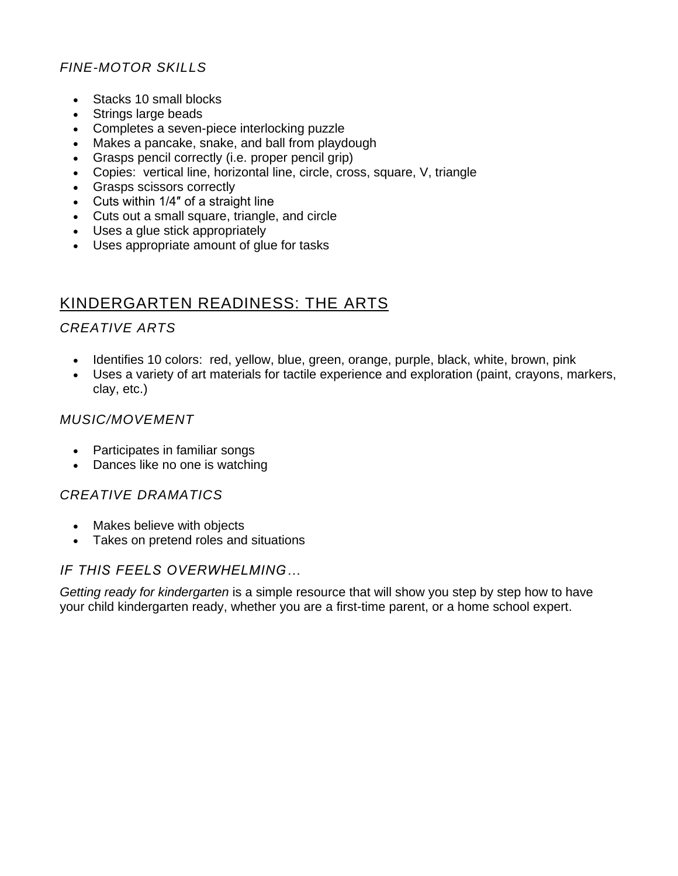# *FINE-MOTOR SKILLS*

- Stacks 10 small blocks
- Strings large beads
- Completes a seven-piece interlocking puzzle
- Makes a pancake, snake, and ball from playdough
- Grasps pencil correctly (i.e. [proper pencil grip\)](https://www.icanteachmychild.com/correct-pencil-grip/)
- Copies: vertical line, horizontal line, circle, cross, square, V, triangle
- Grasps scissors correctly
- Cuts within 1/4″ of a straight line
- Cuts out a small square, triangle, and circle
- Uses a glue stick appropriately
- Uses appropriate amount of glue for tasks

# KINDERGARTEN READINESS: THE ARTS

#### *CREATIVE ARTS*

- Identifies 10 colors: red, yellow, blue, green, orange, purple, black, white, brown, pink
- Uses a variety of art materials for tactile experience and exploration (paint, crayons, markers, clay, etc.)

#### *MUSIC/MOVEMENT*

- Participates in familiar songs
- Dances like no one is watching

#### *CREATIVE DRAMATICS*

- Makes believe with objects
- Takes on pretend roles and situations

#### *IF THIS FEELS OVERWHELMING…*

*[Getting ready for kindergarten](https://www.icanteachmychild.com/downloads/getting-ready-for-kindergarten-ebook/)* is a simple resource that will show you step by step how to have your child kindergarten ready, whether you are a first-time parent, or a home school expert.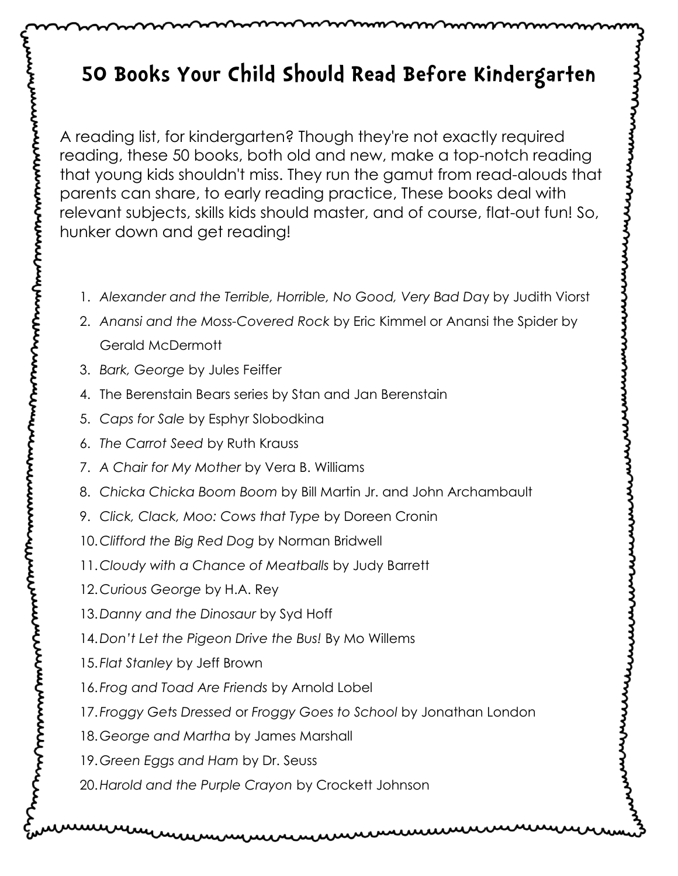# **50 Books Your Child Should Read Before Kindergarten**

A reading list, for kindergarten? Though they're not exactly required reading, these 50 books, both old and new, make a top-notch reading that young kids shouldn't miss. They run the gamut from read-alouds that parents can share, to early reading practice, These books deal with relevant subjects, skills kids should master, and of course, flat-out fun! So, hunker down and get reading!

- 1. *Alexander and the Terrible, Horrible, No Good, Very Bad Da*y by Judith Viorst
- 2. *Anansi and the Moss-Covered Rock* by Eric Kimmel or Anansi the Spider by Gerald McDermott
- 3. *Bark, George* by Jules Feiffer
- 4. The Berenstain Bears series by Stan and Jan Berenstain
- 5. *Caps for Sale* by Esphyr Slobodkina
- 6. *The Carrot Seed* by Ruth Krauss
- 7. *A Chair for My Mother* by Vera B. Williams
- 8. *Chicka Chicka Boom Boom* by Bill Martin Jr. and John Archambault
- 9. *Click, Clack, Moo: Cows that Type* by Doreen Cronin
- 10.*Clifford the Big Red Dog* by Norman Bridwell
- 11.*Cloudy with a Chance of Meatballs* by Judy Barrett
- 12.*Curious George* by H.A. Rey
- 13.*Danny and the Dinosaur* by Syd Hoff
- 14.*Don't Let the Pigeon Drive the Bus!* By Mo Willems
- 15. *Flat Stanley* by Jeff Brown
- 16. *Frog and Toad Are Friends* by Arnold Lobel
- 17. *Froggy Gets Dressed* or *Froggy Goes to School* by Jonathan London
- 18.*George and Martha* by James Marshall
- 19.*Green Eggs and Ham* by Dr. Seuss
- 20.*Harold and the Purple Crayon* by Crockett Johnson